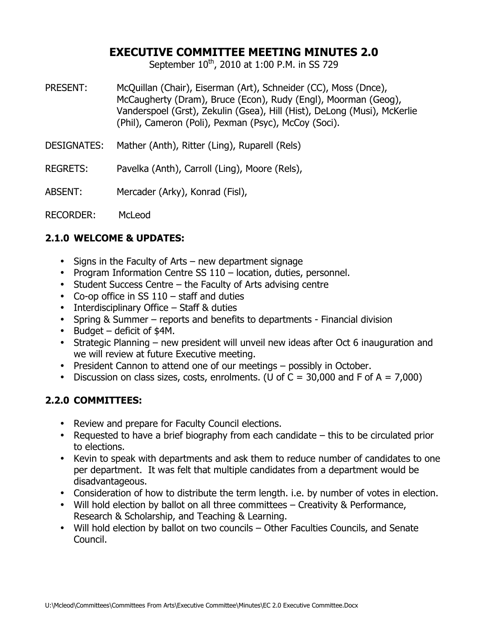# **EXECUTIVE COMMITTEE MEETING MINUTES 2.0**

September  $10^{th}$ , 2010 at 1:00 P.M. in SS 729

- PRESENT: McQuillan (Chair), Eiserman (Art), Schneider (CC), Moss (Dnce), McCaugherty (Dram), Bruce (Econ), Rudy (Engl), Moorman (Geog), Vanderspoel (Grst), Zekulin (Gsea), Hill (Hist), DeLong (Musi), McKerlie (Phil), Cameron (Poli), Pexman (Psyc), McCoy (Soci).
- DESIGNATES: Mather (Anth), Ritter (Ling), Ruparell (Rels)
- REGRETS: Pavelka (Anth), Carroll (Ling), Moore (Rels),
- ABSENT: Mercader (Arky), Konrad (Fisl),

RECORDER: McLeod

#### **2.1.0 WELCOME & UPDATES:**

- Signs in the Faculty of Arts new department signage
- Program Information Centre SS 110 location, duties, personnel.
- Student Success Centre the Faculty of Arts advising centre
- Co-op office in SS  $110 \text{staff}$  and duties
- Interdisciplinary Office Staff & duties
- Spring & Summer reports and benefits to departments Financial division
- Budget deficit of \$4M.
- Strategic Planning new president will unveil new ideas after Oct 6 inauguration and we will review at future Executive meeting.
- President Cannon to attend one of our meetings possibly in October.
- Discussion on class sizes, costs, enrolments. (U of  $C = 30,000$  and F of A = 7.000)

## **2.2.0 COMMITTEES:**

- Review and prepare for Faculty Council elections.
- Requested to have a brief biography from each candidate this to be circulated prior to elections.
- Kevin to speak with departments and ask them to reduce number of candidates to one per department. It was felt that multiple candidates from a department would be disadvantageous.
- Consideration of how to distribute the term length. i.e. by number of votes in election.
- Will hold election by ballot on all three committees Creativity & Performance, Research & Scholarship, and Teaching & Learning.
- Will hold election by ballot on two councils Other Faculties Councils, and Senate Council.